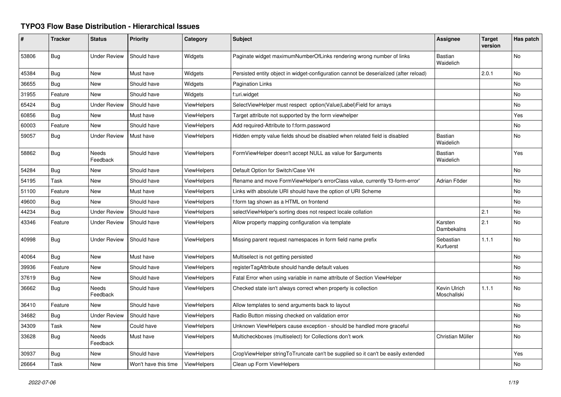## **TYPO3 Flow Base Distribution - Hierarchical Issues**

| #     | <b>Tracker</b> | <b>Status</b>       | <b>Priority</b>      | Category           | <b>Subject</b>                                                                        | Assignee                    | <b>Target</b><br>version | Has patch |
|-------|----------------|---------------------|----------------------|--------------------|---------------------------------------------------------------------------------------|-----------------------------|--------------------------|-----------|
| 53806 | Bug            | <b>Under Review</b> | Should have          | Widgets            | Paginate widget maximumNumberOfLinks rendering wrong number of links                  | <b>Bastian</b><br>Waidelich |                          | No        |
| 45384 | Bug            | New                 | Must have            | Widgets            | Persisted entity object in widget-configuration cannot be deserialized (after reload) |                             | 2.0.1                    | No        |
| 36655 | Bug            | New                 | Should have          | Widgets            | <b>Pagination Links</b>                                                               |                             |                          | <b>No</b> |
| 31955 | Feature        | New                 | Should have          | Widgets            | f:uri.widget                                                                          |                             |                          | No        |
| 65424 | Bug            | <b>Under Review</b> | Should have          | ViewHelpers        | SelectViewHelper must respect option(Value Label)Field for arrays                     |                             |                          | No        |
| 60856 | Bug            | New                 | Must have            | ViewHelpers        | Target attribute not supported by the form viewhelper                                 |                             |                          | Yes       |
| 60003 | Feature        | New                 | Should have          | <b>ViewHelpers</b> | Add required-Attribute to f:form.password                                             |                             |                          | No        |
| 59057 | Bug            | <b>Under Review</b> | Must have            | ViewHelpers        | Hidden empty value fields shoud be disabled when related field is disabled            | <b>Bastian</b><br>Waidelich |                          | No        |
| 58862 | Bug            | Needs<br>Feedback   | Should have          | <b>ViewHelpers</b> | FormViewHelper doesn't accept NULL as value for \$arguments                           | <b>Bastian</b><br>Waidelich |                          | Yes       |
| 54284 | Bug            | New                 | Should have          | <b>ViewHelpers</b> | Default Option for Switch/Case VH                                                     |                             |                          | <b>No</b> |
| 54195 | Task           | New                 | Should have          | <b>ViewHelpers</b> | Rename and move FormViewHelper's errorClass value, currently 'f3-form-error'          | Adrian Föder                |                          | No        |
| 51100 | Feature        | New                 | Must have            | <b>ViewHelpers</b> | Links with absolute URI should have the option of URI Scheme                          |                             |                          | <b>No</b> |
| 49600 | Bug            | New                 | Should have          | ViewHelpers        | f:form tag shown as a HTML on frontend                                                |                             |                          | <b>No</b> |
| 44234 | Bug            | <b>Under Review</b> | Should have          | <b>ViewHelpers</b> | selectViewHelper's sorting does not respect locale collation                          |                             | 2.1                      | No        |
| 43346 | Feature        | <b>Under Review</b> | Should have          | <b>ViewHelpers</b> | Allow property mapping configuration via template                                     | Karsten<br>Dambekalns       | 2.1                      | No        |
| 40998 | Bug            | <b>Under Review</b> | Should have          | <b>ViewHelpers</b> | Missing parent request namespaces in form field name prefix                           | Sebastian<br>Kurfuerst      | 1.1.1                    | <b>No</b> |
| 40064 | Bug            | New                 | Must have            | <b>ViewHelpers</b> | Multiselect is not getting persisted                                                  |                             |                          | <b>No</b> |
| 39936 | Feature        | New                 | Should have          | <b>ViewHelpers</b> | registerTagAttribute should handle default values                                     |                             |                          | No        |
| 37619 | Bug            | New                 | Should have          | ViewHelpers        | Fatal Error when using variable in name attribute of Section ViewHelper               |                             |                          | No        |
| 36662 | Bug            | Needs<br>Feedback   | Should have          | <b>ViewHelpers</b> | Checked state isn't always correct when property is collection                        | Kevin Ulrich<br>Moschallski | 1.1.1                    | No        |
| 36410 | Feature        | <b>New</b>          | Should have          | <b>ViewHelpers</b> | Allow templates to send arguments back to layout                                      |                             |                          | No        |
| 34682 | Bug            | <b>Under Review</b> | Should have          | ViewHelpers        | Radio Button missing checked on validation error                                      |                             |                          | No        |
| 34309 | Task           | New                 | Could have           | <b>ViewHelpers</b> | Unknown ViewHelpers cause exception - should be handled more graceful                 |                             |                          | No.       |
| 33628 | Bug            | Needs<br>Feedback   | Must have            | <b>ViewHelpers</b> | Multicheckboxes (multiselect) for Collections don't work                              | Christian Müller            |                          | No        |
| 30937 | Bug            | New                 | Should have          | ViewHelpers        | CropViewHelper stringToTruncate can't be supplied so it can't be easily extended      |                             |                          | Yes       |
| 26664 | Task           | New                 | Won't have this time | ViewHelpers        | Clean up Form ViewHelpers                                                             |                             |                          | No        |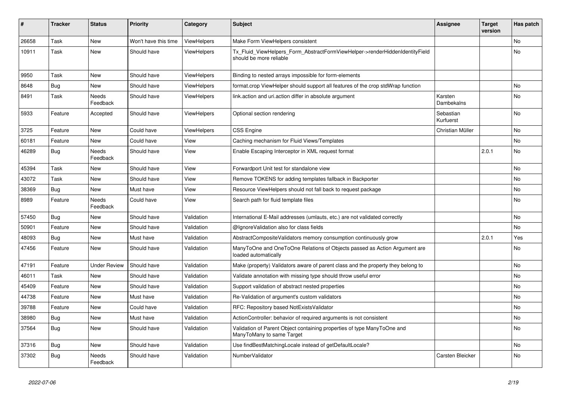| ∦     | <b>Tracker</b> | <b>Status</b>            | <b>Priority</b>      | Category           | <b>Subject</b>                                                                                         | <b>Assignee</b>              | <b>Target</b><br>version | Has patch      |
|-------|----------------|--------------------------|----------------------|--------------------|--------------------------------------------------------------------------------------------------------|------------------------------|--------------------------|----------------|
| 26658 | Task           | <b>New</b>               | Won't have this time | ViewHelpers        | Make Form ViewHelpers consistent                                                                       |                              |                          | N <sub>o</sub> |
| 10911 | Task           | New                      | Should have          | ViewHelpers        | Tx_Fluid_ViewHelpers_Form_AbstractFormViewHelper->renderHiddenIdentityField<br>should be more reliable |                              |                          | No             |
| 9950  | Task           | New                      | Should have          | <b>ViewHelpers</b> | Binding to nested arrays impossible for form-elements                                                  |                              |                          |                |
| 8648  | Bug            | New                      | Should have          | ViewHelpers        | format.crop ViewHelper should support all features of the crop stdWrap function                        |                              |                          | No             |
| 8491  | Task           | Needs<br>Feedback        | Should have          | ViewHelpers        | link.action and uri.action differ in absolute argument                                                 | Karsten<br><b>Dambekalns</b> |                          | No             |
| 5933  | Feature        | Accepted                 | Should have          | ViewHelpers        | Optional section rendering                                                                             | Sebastian<br>Kurfuerst       |                          | No             |
| 3725  | Feature        | New                      | Could have           | ViewHelpers        | <b>CSS Engine</b>                                                                                      | Christian Müller             |                          | No             |
| 60181 | Feature        | New                      | Could have           | View               | Caching mechanism for Fluid Views/Templates                                                            |                              |                          | No             |
| 46289 | <b>Bug</b>     | <b>Needs</b><br>Feedback | Should have          | View               | Enable Escaping Interceptor in XML request format                                                      |                              | 2.0.1                    | No             |
| 45394 | Task           | New                      | Should have          | View               | Forwardport Unit test for standalone view                                                              |                              |                          | No             |
| 43072 | Task           | New                      | Should have          | View               | Remove TOKENS for adding templates fallback in Backporter                                              |                              |                          | No             |
| 38369 | Bug            | New                      | Must have            | View               | Resource ViewHelpers should not fall back to request package                                           |                              |                          | No             |
| 8989  | Feature        | Needs<br>Feedback        | Could have           | View               | Search path for fluid template files                                                                   |                              |                          | No             |
| 57450 | <b>Bug</b>     | New                      | Should have          | Validation         | International E-Mail addresses (umlauts, etc.) are not validated correctly                             |                              |                          | No             |
| 50901 | Feature        | New                      | Should have          | Validation         | @IgnoreValidation also for class fields                                                                |                              |                          | No.            |
| 48093 | Bug            | New                      | Must have            | Validation         | AbstractCompositeValidators memory consumption continuously grow                                       |                              | 2.0.1                    | Yes            |
| 47456 | Feature        | New                      | Should have          | Validation         | ManyToOne and OneToOne Relations of Objects passed as Action Argument are<br>loaded automatically      |                              |                          | No             |
| 47191 | Feature        | <b>Under Review</b>      | Should have          | Validation         | Make (property) Validators aware of parent class and the property they belong to                       |                              |                          | No             |
| 46011 | Task           | New                      | Should have          | Validation         | Validate annotation with missing type should throw useful error                                        |                              |                          | No             |
| 45409 | Feature        | New                      | Should have          | Validation         | Support validation of abstract nested properties                                                       |                              |                          | No             |
| 44738 | Feature        | New                      | Must have            | Validation         | Re-Validation of argument's custom validators                                                          |                              |                          | No             |
| 39788 | Feature        | New                      | Could have           | Validation         | RFC: Repository based NotExistsValidator                                                               |                              |                          | No             |
| 38980 | <b>Bug</b>     | New                      | Must have            | Validation         | ActionController: behavior of required arguments is not consistent                                     |                              |                          | No             |
| 37564 | <b>Bug</b>     | New                      | Should have          | Validation         | Validation of Parent Object containing properties of type ManyToOne and<br>ManyToMany to same Target   |                              |                          | No             |
| 37316 | Bug            | New                      | Should have          | Validation         | Use findBestMatchingLocale instead of getDefaultLocale?                                                |                              |                          | No             |
| 37302 | Bug            | Needs<br>Feedback        | Should have          | Validation         | NumberValidator                                                                                        | Carsten Bleicker             |                          | No             |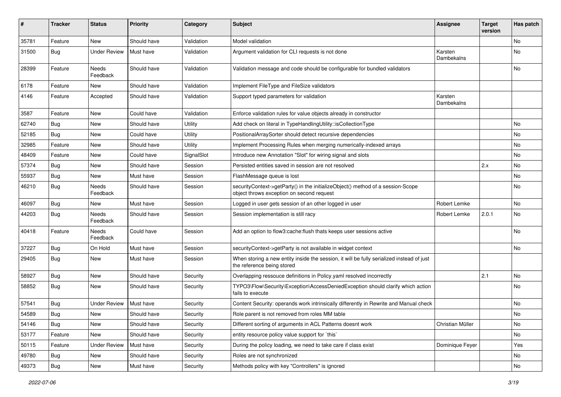| ∦     | <b>Tracker</b> | <b>Status</b>       | <b>Priority</b> | Category   | Subject                                                                                                                      | <b>Assignee</b>              | <b>Target</b><br>version | Has patch      |
|-------|----------------|---------------------|-----------------|------------|------------------------------------------------------------------------------------------------------------------------------|------------------------------|--------------------------|----------------|
| 35781 | Feature        | New                 | Should have     | Validation | Model validation                                                                                                             |                              |                          | N <sub>o</sub> |
| 31500 | <b>Bug</b>     | Under Review        | Must have       | Validation | Argument validation for CLI requests is not done                                                                             | Karsten<br>Dambekalns        |                          | No             |
| 28399 | Feature        | Needs<br>Feedback   | Should have     | Validation | Validation message and code should be configurable for bundled validators                                                    |                              |                          | <b>No</b>      |
| 6178  | Feature        | <b>New</b>          | Should have     | Validation | Implement FileType and FileSize validators                                                                                   |                              |                          |                |
| 4146  | Feature        | Accepted            | Should have     | Validation | Support typed parameters for validation                                                                                      | Karsten<br><b>Dambekalns</b> |                          |                |
| 3587  | Feature        | New                 | Could have      | Validation | Enforce validation rules for value objects already in constructor                                                            |                              |                          |                |
| 62740 | Bug            | New                 | Should have     | Utility    | Add check on literal in TypeHandlingUtility::isCollectionType                                                                |                              |                          | No             |
| 52185 | <b>Bug</b>     | New                 | Could have      | Utility    | PositionalArraySorter should detect recursive dependencies                                                                   |                              |                          | No             |
| 32985 | Feature        | New                 | Should have     | Utility    | Implement Processing Rules when merging numerically-indexed arrays                                                           |                              |                          | <b>No</b>      |
| 48409 | Feature        | New                 | Could have      | SignalSlot | Introduce new Annotation "Slot" for wiring signal and slots                                                                  |                              |                          | No             |
| 57374 | Bug            | New                 | Should have     | Session    | Persisted entities saved in session are not resolved                                                                         |                              | 2.x                      | No             |
| 55937 | <b>Bug</b>     | New                 | Must have       | Session    | FlashMessage queue is lost                                                                                                   |                              |                          | No             |
| 46210 | <b>Bug</b>     | Needs<br>Feedback   | Should have     | Session    | securityContext->getParty() in the initializeObject() method of a session-Scope<br>object throws exception on second request |                              |                          | No             |
| 46097 | Bug            | New                 | Must have       | Session    | Logged in user gets session of an other logged in user                                                                       | Robert Lemke                 |                          | No             |
| 44203 | <b>Bug</b>     | Needs<br>Feedback   | Should have     | Session    | Session implementation is still racy                                                                                         | Robert Lemke                 | 2.0.1                    | No             |
| 40418 | Feature        | Needs<br>Feedback   | Could have      | Session    | Add an option to flow3:cache: flush thats keeps user sessions active                                                         |                              |                          | No             |
| 37227 | Bug            | On Hold             | Must have       | Session    | securityContext->getParty is not available in widget context                                                                 |                              |                          | No             |
| 29405 | <b>Bug</b>     | New                 | Must have       | Session    | When storing a new entity inside the session, it will be fully serialized instead of just<br>the reference being stored      |                              |                          |                |
| 58927 | Bug            | New                 | Should have     | Security   | Overlapping ressouce definitions in Policy yaml resolved incorrectly                                                         |                              | 2.1                      | No             |
| 58852 | <b>Bug</b>     | New                 | Should have     | Security   | TYPO3\Flow\Security\Exception\AccessDeniedException should clarify which action<br>fails to execute                          |                              |                          | No             |
| 57541 | <b>Bug</b>     | <b>Under Review</b> | Must have       | Security   | Content Security: operands work intrinsically differently in Rewrite and Manual check                                        |                              |                          | No.            |
| 54589 | Bug            | New                 | Should have     | Security   | Role parent is not removed from roles MM table                                                                               |                              |                          | No             |
| 54146 | Bug            | New                 | Should have     | Security   | Different sorting of arguments in ACL Patterns doesnt work                                                                   | Christian Müller             |                          | No             |
| 53177 | Feature        | New                 | Should have     | Security   | entity resource policy value support for `this`                                                                              |                              |                          | No             |
| 50115 | Feature        | <b>Under Review</b> | Must have       | Security   | During the policy loading, we need to take care if class exist                                                               | Dominique Feyer              |                          | Yes            |
| 49780 | <b>Bug</b>     | New                 | Should have     | Security   | Roles are not synchronized                                                                                                   |                              |                          | No             |
| 49373 | Bug            | New                 | Must have       | Security   | Methods policy with key "Controllers" is ignored                                                                             |                              |                          | No             |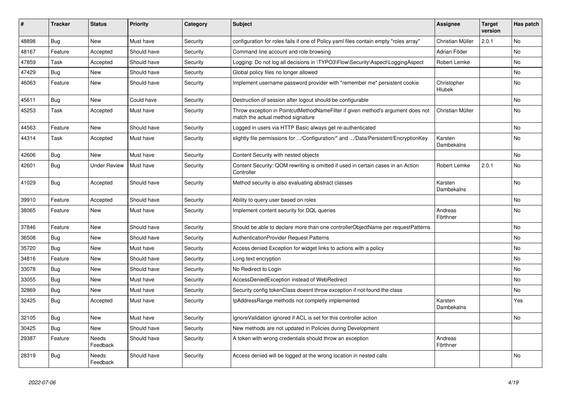| ∦     | <b>Tracker</b> | <b>Status</b>            | <b>Priority</b> | Category | <b>Subject</b>                                                                                                       | <b>Assignee</b>       | <b>Target</b><br>version | Has patch |
|-------|----------------|--------------------------|-----------------|----------|----------------------------------------------------------------------------------------------------------------------|-----------------------|--------------------------|-----------|
| 48898 | Bug            | <b>New</b>               | Must have       | Security | configuration for roles fails if one of Policy.yaml files contain empty "roles array"                                | Christian Müller      | 2.0.1                    | <b>No</b> |
| 48167 | Feature        | Accepted                 | Should have     | Security | Command line account and role browsing                                                                               | Adrian Föder          |                          | No.       |
| 47859 | Task           | Accepted                 | Should have     | Security | Logging: Do not log all decisions in \TYPO3\Flow\Security\Aspect\LoggingAspect                                       | Robert Lemke          |                          | <b>No</b> |
| 47429 | Bug            | New                      | Should have     | Security | Global policy files no longer allowed                                                                                |                       |                          | No.       |
| 46063 | Feature        | <b>New</b>               | Should have     | Security | Implement username password provider with "remember me" persistent cookie                                            | Christopher<br>Hlubek |                          | <b>No</b> |
| 45611 | <b>Bug</b>     | <b>New</b>               | Could have      | Security | Destruction of session after logout should be configurable                                                           |                       |                          | No.       |
| 45253 | Task           | Accepted                 | Must have       | Security | Throw exception in PointcutMethodNameFilter if given method's argument does not<br>match the actual method signature | Christian Müller      |                          | No        |
| 44563 | Feature        | New                      | Should have     | Security | Logged in users via HTTP Basic always get re-authenticated                                                           |                       |                          | No        |
| 44314 | Task           | Accepted                 | Must have       | Security | slightly file permissions for /Configuration/* and /Data/Persistent/EncryptionKey                                    | Karsten<br>Dambekalns |                          | <b>No</b> |
| 42606 | <b>Bug</b>     | <b>New</b>               | Must have       | Security | Content Security with nested objects                                                                                 |                       |                          | <b>No</b> |
| 42601 | <b>Bug</b>     | <b>Under Review</b>      | Must have       | Security | Content Security: QOM rewriting is omitted if used in certain cases in an Action<br>Controller                       | Robert Lemke          | 2.0.1                    | <b>No</b> |
| 41029 | <b>Bug</b>     | Accepted                 | Should have     | Security | Method security is also evaluating abstract classes                                                                  | Karsten<br>Dambekalns |                          | <b>No</b> |
| 39910 | Feature        | Accepted                 | Should have     | Security | Ability to query user based on roles                                                                                 |                       |                          | No        |
| 38065 | Feature        | New                      | Must have       | Security | Implement content security for DQL queries                                                                           | Andreas<br>Förthner   |                          | No        |
| 37846 | Feature        | New                      | Should have     | Security | Should be able to declare more than one controllerObjectName per requestPatterns                                     |                       |                          | <b>No</b> |
| 36508 | Bug            | New                      | Should have     | Security | <b>AuthenticationProvider Request Patterns</b>                                                                       |                       |                          | No.       |
| 35720 | <b>Bug</b>     | <b>New</b>               | Must have       | Security | Access denied Exception for widget links to actions with a policy                                                    |                       |                          | <b>No</b> |
| 34816 | Feature        | <b>New</b>               | Should have     | Security | Long text encryption                                                                                                 |                       |                          | <b>No</b> |
| 33078 | <b>Bug</b>     | <b>New</b>               | Should have     | Security | No Redirect to Login                                                                                                 |                       |                          | <b>No</b> |
| 33055 | Bug            | New                      | Must have       | Security | AccessDeniedException instead of WebRedirect                                                                         |                       |                          | No.       |
| 32869 | Bug            | <b>New</b>               | Must have       | Security | Security config tokenClass doesnt throw exception if not found the class                                             |                       |                          | <b>No</b> |
| 32425 | Bug            | Accepted                 | Must have       | Security | IpAddressRange methods not completly implemented                                                                     | Karsten<br>Dambekalns |                          | Yes       |
| 32105 | <b>Bug</b>     | New                      | Must have       | Security | Ignore Validation ignored if ACL is set for this controller action                                                   |                       |                          | No        |
| 30425 | <b>Bug</b>     | New                      | Should have     | Security | New methods are not updated in Policies during Development                                                           |                       |                          |           |
| 29387 | Feature        | <b>Needs</b><br>Feedback | Should have     | Security | A token with wrong credentials should throw an exception                                                             | Andreas<br>Förthner   |                          |           |
| 28319 | <b>Bug</b>     | Needs<br>Feedback        | Should have     | Security | Access denied will be logged at the wrong location in nested calls                                                   |                       |                          | No        |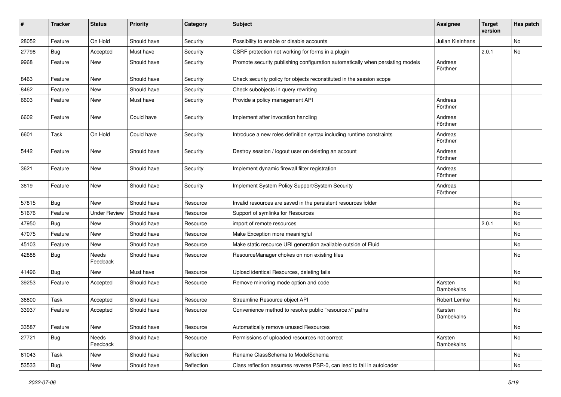| #     | <b>Tracker</b> | <b>Status</b>       | <b>Priority</b> | Category   | <b>Subject</b>                                                                 | <b>Assignee</b>       | <b>Target</b><br>version | Has patch |
|-------|----------------|---------------------|-----------------|------------|--------------------------------------------------------------------------------|-----------------------|--------------------------|-----------|
| 28052 | Feature        | On Hold             | Should have     | Security   | Possibility to enable or disable accounts                                      | Julian Kleinhans      |                          | No        |
| 27798 | Bug            | Accepted            | Must have       | Security   | CSRF protection not working for forms in a plugin                              |                       | 2.0.1                    | No        |
| 9968  | Feature        | New                 | Should have     | Security   | Promote security publishing configuration automatically when persisting models | Andreas<br>Förthner   |                          |           |
| 8463  | Feature        | New                 | Should have     | Security   | Check security policy for objects reconstituted in the session scope           |                       |                          |           |
| 8462  | Feature        | New                 | Should have     | Security   | Check subobjects in query rewriting                                            |                       |                          |           |
| 6603  | Feature        | New                 | Must have       | Security   | Provide a policy management API                                                | Andreas<br>Förthner   |                          |           |
| 6602  | Feature        | <b>New</b>          | Could have      | Security   | Implement after invocation handling                                            | Andreas<br>Förthner   |                          |           |
| 6601  | Task           | On Hold             | Could have      | Security   | Introduce a new roles definition syntax including runtime constraints          | Andreas<br>Förthner   |                          |           |
| 5442  | Feature        | <b>New</b>          | Should have     | Security   | Destroy session / logout user on deleting an account                           | Andreas<br>Förthner   |                          |           |
| 3621  | Feature        | <b>New</b>          | Should have     | Security   | Implement dynamic firewall filter registration                                 | Andreas<br>Förthner   |                          |           |
| 3619  | Feature        | New                 | Should have     | Security   | Implement System Policy Support/System Security                                | Andreas<br>Förthner   |                          |           |
| 57815 | Bug            | <b>New</b>          | Should have     | Resource   | Invalid resources are saved in the persistent resources folder                 |                       |                          | No        |
| 51676 | Feature        | <b>Under Review</b> | Should have     | Resource   | Support of symlinks for Resources                                              |                       |                          | No        |
| 47950 | Bug            | New                 | Should have     | Resource   | import of remote resources                                                     |                       | 2.0.1                    | No        |
| 47075 | Feature        | New                 | Should have     | Resource   | Make Exception more meaningful                                                 |                       |                          | No        |
| 45103 | Feature        | <b>New</b>          | Should have     | Resource   | Make static resource URI generation available outside of Fluid                 |                       |                          | No        |
| 42888 | Bug            | Needs<br>Feedback   | Should have     | Resource   | ResourceManager chokes on non existing files                                   |                       |                          | No        |
| 41496 | Bug            | New                 | Must have       | Resource   | Upload identical Resources, deleting fails                                     |                       |                          | No        |
| 39253 | Feature        | Accepted            | Should have     | Resource   | Remove mirroring mode option and code                                          | Karsten<br>Dambekalns |                          | No        |
| 36800 | Task           | Accepted            | Should have     | Resource   | Streamline Resource object API                                                 | Robert Lemke          |                          | No        |
| 33937 | Feature        | Accepted            | Should have     | Resource   | Convenience method to resolve public "resource://" paths                       | Karsten<br>Dambekalns |                          | <b>No</b> |
| 33587 | Feature        | New                 | Should have     | Resource   | Automatically remove unused Resources                                          |                       |                          | No        |
| 27721 | <b>Bug</b>     | Needs<br>Feedback   | Should have     | Resource   | Permissions of uploaded resources not correct                                  | Karsten<br>Dambekalns |                          | No        |
| 61043 | Task           | New                 | Should have     | Reflection | Rename ClassSchema to ModelSchema                                              |                       |                          | No        |
| 53533 | <b>Bug</b>     | New                 | Should have     | Reflection | Class reflection assumes reverse PSR-0, can lead to fail in autoloader         |                       |                          | No        |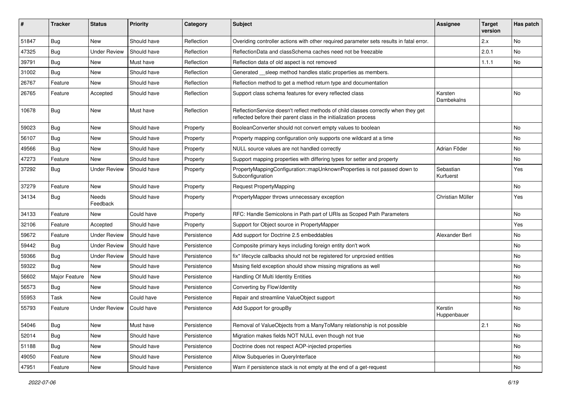| ∦     | <b>Tracker</b> | <b>Status</b>       | Priority    | Category    | Subject                                                                                                                                                 | <b>Assignee</b>        | <b>Target</b><br>version | Has patch |
|-------|----------------|---------------------|-------------|-------------|---------------------------------------------------------------------------------------------------------------------------------------------------------|------------------------|--------------------------|-----------|
| 51847 | Bug            | New                 | Should have | Reflection  | Overiding controller actions with other required parameter sets results in fatal error.                                                                 |                        | 2.x                      | No        |
| 47325 | <b>Bug</b>     | <b>Under Review</b> | Should have | Reflection  | ReflectionData and classSchema caches need not be freezable                                                                                             |                        | 2.0.1                    | No        |
| 39791 | Bug            | New                 | Must have   | Reflection  | Reflection data of old aspect is not removed                                                                                                            |                        | 1.1.1                    | No        |
| 31002 | Bug            | New                 | Should have | Reflection  | Generated __sleep method handles static properties as members.                                                                                          |                        |                          |           |
| 26767 | Feature        | New                 | Should have | Reflection  | Reflection method to get a method return type and documentation                                                                                         |                        |                          |           |
| 26765 | Feature        | Accepted            | Should have | Reflection  | Support class schema features for every reflected class                                                                                                 | Karsten<br>Dambekalns  |                          | No        |
| 10678 | <b>Bug</b>     | New                 | Must have   | Reflection  | ReflectionService doesn't reflect methods of child classes correctly when they get<br>reflected before their parent class in the initialization process |                        |                          |           |
| 59023 | Bug            | New                 | Should have | Property    | BooleanConverter should not convert empty values to boolean                                                                                             |                        |                          | No        |
| 56107 | <b>Bug</b>     | New                 | Should have | Property    | Property mapping configuration only supports one wildcard at a time                                                                                     |                        |                          | No        |
| 49566 | Bug            | New                 | Should have | Property    | NULL source values are not handled correctly                                                                                                            | Adrian Föder           |                          | No        |
| 47273 | Feature        | New                 | Should have | Property    | Support mapping properties with differing types for setter and property                                                                                 |                        |                          | No        |
| 37292 | <b>Bug</b>     | <b>Under Review</b> | Should have | Property    | PropertyMappingConfiguration::mapUnknownProperties is not passed down to<br>Subconfiguration                                                            | Sebastian<br>Kurfuerst |                          | Yes       |
| 37279 | Feature        | New                 | Should have | Property    | <b>Request PropertyMapping</b>                                                                                                                          |                        |                          | No        |
| 34134 | <b>Bug</b>     | Needs<br>Feedback   | Should have | Property    | PropertyMapper throws unnecessary exception                                                                                                             | Christian Müller       |                          | Yes       |
| 34133 | Feature        | New                 | Could have  | Property    | RFC: Handle Semicolons in Path part of URIs as Scoped Path Parameters                                                                                   |                        |                          | No        |
| 32106 | Feature        | Accepted            | Should have | Property    | Support for Object source in PropertyMapper                                                                                                             |                        |                          | Yes       |
| 59672 | Feature        | <b>Under Review</b> | Should have | Persistence | Add support for Doctrine 2.5 embeddables                                                                                                                | Alexander Berl         |                          | No        |
| 59442 | <b>Bug</b>     | <b>Under Review</b> | Should have | Persistence | Composite primary keys including foreign entity don't work                                                                                              |                        |                          | No        |
| 59366 | <b>Bug</b>     | <b>Under Review</b> | Should have | Persistence | fix* lifecycle callbacks should not be registered for unproxied entities                                                                                |                        |                          | No        |
| 59322 | <b>Bug</b>     | New                 | Should have | Persistence | Mssing field exception should show missing migrations as well                                                                                           |                        |                          | No        |
| 56602 | Major Feature  | New                 | Should have | Persistence | Handling Of Multi Identity Entities                                                                                                                     |                        |                          | No        |
| 56573 | Bug            | New                 | Should have | Persistence | Converting by Flow\Identity                                                                                                                             |                        |                          | No        |
| 55953 | Task           | New                 | Could have  | Persistence | Repair and streamline ValueObject support                                                                                                               |                        |                          | No.       |
| 55793 | Feature        | Under Review        | Could have  | Persistence | Add Support for groupBy                                                                                                                                 | Kerstin<br>Huppenbauer |                          | No        |
| 54046 | <b>Bug</b>     | New                 | Must have   | Persistence | Removal of ValueObjects from a ManyToMany relationship is not possible                                                                                  |                        | 2.1                      | No        |
| 52014 | <b>Bug</b>     | New                 | Should have | Persistence | Migration makes fields NOT NULL even though not true                                                                                                    |                        |                          | No        |
| 51188 | <b>Bug</b>     | New                 | Should have | Persistence | Doctrine does not respect AOP-injected properties                                                                                                       |                        |                          | No        |
| 49050 | Feature        | New                 | Should have | Persistence | Allow Subqueries in QueryInterface                                                                                                                      |                        |                          | No        |
| 47951 | Feature        | New                 | Should have | Persistence | Warn if persistence stack is not empty at the end of a get-request                                                                                      |                        |                          | No        |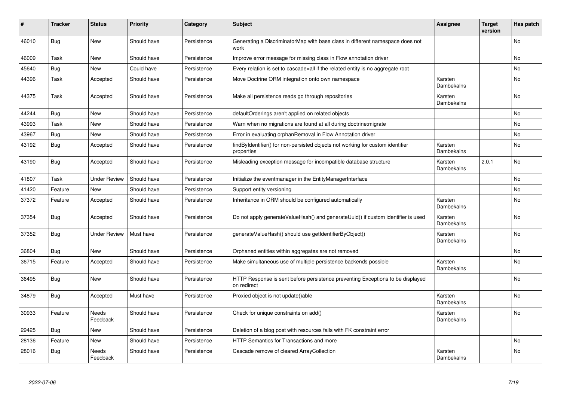| #     | <b>Tracker</b> | <b>Status</b>            | <b>Priority</b> | Category    | <b>Subject</b>                                                                                | <b>Assignee</b>       | <b>Target</b><br>version | Has patch |
|-------|----------------|--------------------------|-----------------|-------------|-----------------------------------------------------------------------------------------------|-----------------------|--------------------------|-----------|
| 46010 | Bug            | <b>New</b>               | Should have     | Persistence | Generating a DiscriminatorMap with base class in different namespace does not<br>work         |                       |                          | <b>No</b> |
| 46009 | Task           | <b>New</b>               | Should have     | Persistence | Improve error message for missing class in Flow annotation driver                             |                       |                          | <b>No</b> |
| 45640 | Bug            | New                      | Could have      | Persistence | Every relation is set to cascade=all if the related entity is no aggregate root               |                       |                          | No        |
| 44396 | Task           | Accepted                 | Should have     | Persistence | Move Doctrine ORM integration onto own namespace                                              | Karsten<br>Dambekalns |                          | No        |
| 44375 | Task           | Accepted                 | Should have     | Persistence | Make all persistence reads go through repositories                                            | Karsten<br>Dambekalns |                          | <b>No</b> |
| 44244 | <b>Bug</b>     | <b>New</b>               | Should have     | Persistence | defaultOrderings aren't applied on related objects                                            |                       |                          | <b>No</b> |
| 43993 | Task           | <b>New</b>               | Should have     | Persistence | Warn when no migrations are found at all during doctrine: migrate                             |                       |                          | No        |
| 43967 | Bug            | New                      | Should have     | Persistence | Error in evaluating orphanRemoval in Flow Annotation driver                                   |                       |                          | <b>No</b> |
| 43192 | Bug            | Accepted                 | Should have     | Persistence | findByIdentifier() for non-persisted objects not working for custom identifier<br>properties  | Karsten<br>Dambekalns |                          | <b>No</b> |
| 43190 | Bug            | Accepted                 | Should have     | Persistence | Misleading exception message for incompatible database structure                              | Karsten<br>Dambekalns | 2.0.1                    | No        |
| 41807 | Task           | <b>Under Review</b>      | Should have     | Persistence | Initialize the eventmanager in the EntityManagerInterface                                     |                       |                          | <b>No</b> |
| 41420 | Feature        | New                      | Should have     | Persistence | Support entity versioning                                                                     |                       |                          | <b>No</b> |
| 37372 | Feature        | Accepted                 | Should have     | Persistence | Inheritance in ORM should be configured automatically                                         | Karsten<br>Dambekalns |                          | No.       |
| 37354 | Bug            | Accepted                 | Should have     | Persistence | Do not apply generateValueHash() and generateUuid() if custom identifier is used              | Karsten<br>Dambekalns |                          | No        |
| 37352 | Bug            | <b>Under Review</b>      | Must have       | Persistence | generateValueHash() should use getIdentifierByObject()                                        | Karsten<br>Dambekalns |                          | No        |
| 36804 | Bug            | New                      | Should have     | Persistence | Orphaned entities within aggregates are not removed                                           |                       |                          | No        |
| 36715 | Feature        | Accepted                 | Should have     | Persistence | Make simultaneous use of multiple persistence backends possible                               | Karsten<br>Dambekalns |                          | No        |
| 36495 | Bug            | New                      | Should have     | Persistence | HTTP Response is sent before persistence preventing Exceptions to be displayed<br>on redirect |                       |                          | No        |
| 34879 | Bug            | Accepted                 | Must have       | Persistence | Proxied object is not update()able                                                            | Karsten<br>Dambekalns |                          | No        |
| 30933 | Feature        | <b>Needs</b><br>Feedback | Should have     | Persistence | Check for unique constraints on add()                                                         | Karsten<br>Dambekalns |                          | <b>No</b> |
| 29425 | Bug            | New                      | Should have     | Persistence | Deletion of a blog post with resources fails with FK constraint error                         |                       |                          |           |
| 28136 | Feature        | <b>New</b>               | Should have     | Persistence | <b>HTTP Semantics for Transactions and more</b>                                               |                       |                          | <b>No</b> |
| 28016 | Bug            | Needs<br>Feedback        | Should have     | Persistence | Cascade remove of cleared ArrayCollection                                                     | Karsten<br>Dambekalns |                          | No        |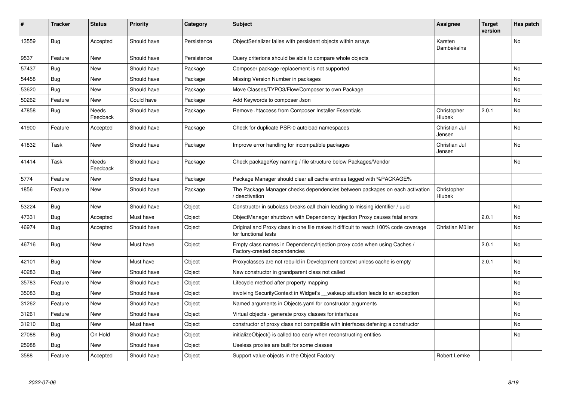| #     | <b>Tracker</b> | <b>Status</b>     | <b>Priority</b> | Category    | <b>Subject</b>                                                                                              | Assignee                     | <b>Target</b><br>version | Has patch      |
|-------|----------------|-------------------|-----------------|-------------|-------------------------------------------------------------------------------------------------------------|------------------------------|--------------------------|----------------|
| 13559 | <b>Bug</b>     | Accepted          | Should have     | Persistence | ObjectSerializer failes with persistent objects within arrays                                               | Karsten<br>Dambekalns        |                          | N <sub>o</sub> |
| 9537  | Feature        | <b>New</b>        | Should have     | Persistence | Query criterions should be able to compare whole objects                                                    |                              |                          |                |
| 57437 | Bug            | New               | Should have     | Package     | Composer package replacement is not supported                                                               |                              |                          | No             |
| 54458 | Bug            | New               | Should have     | Package     | Missing Version Number in packages                                                                          |                              |                          | No             |
| 53620 | Bug            | New               | Should have     | Package     | Move Classes/TYPO3/Flow/Composer to own Package                                                             |                              |                          | No             |
| 50262 | Feature        | New               | Could have      | Package     | Add Keywords to composer Json                                                                               |                              |                          | No             |
| 47858 | Bug            | Needs<br>Feedback | Should have     | Package     | Remove .htaccess from Composer Installer Essentials                                                         | Christopher<br><b>Hlubek</b> | 2.0.1                    | No.            |
| 41900 | Feature        | Accepted          | Should have     | Package     | Check for duplicate PSR-0 autoload namespaces                                                               | Christian Jul<br>Jensen      |                          | No             |
| 41832 | Task           | New               | Should have     | Package     | Improve error handling for incompatible packages                                                            | Christian Jul<br>Jensen      |                          | No             |
| 41414 | Task           | Needs<br>Feedback | Should have     | Package     | Check packageKey naming / file structure below Packages/Vendor                                              |                              |                          | No             |
| 5774  | Feature        | New               | Should have     | Package     | Package Manager should clear all cache entries tagged with %PACKAGE%                                        |                              |                          |                |
| 1856  | Feature        | <b>New</b>        | Should have     | Package     | The Package Manager checks dependencies between packages on each activation<br>deactivation                 | Christopher<br>Hlubek        |                          |                |
| 53224 | Bug            | New               | Should have     | Object      | Constructor in subclass breaks call chain leading to missing identifier / uuid                              |                              |                          | No.            |
| 47331 | <b>Bug</b>     | Accepted          | Must have       | Object      | ObjectManager shutdown with Dependency Injection Proxy causes fatal errors                                  |                              | 2.0.1                    | No             |
| 46974 | Bug            | Accepted          | Should have     | Object      | Original and Proxy class in one file makes it difficult to reach 100% code coverage<br>for functional tests | Christian Müller             |                          | No             |
| 46716 | <b>Bug</b>     | New               | Must have       | Object      | Empty class names in Dependencylnjection proxy code when using Caches /<br>Factory-created dependencies     |                              | 2.0.1                    | No             |
| 42101 | Bug            | <b>New</b>        | Must have       | Object      | Proxyclasses are not rebuild in Development context unless cache is empty                                   |                              | 2.0.1                    | No             |
| 40283 | Bug            | New               | Should have     | Object      | New constructor in grandparent class not called                                                             |                              |                          | No             |
| 35783 | Feature        | New               | Should have     | Object      | Lifecycle method after property mapping                                                                     |                              |                          | No             |
| 35083 | <b>Bug</b>     | New               | Should have     | Object      | involving SecurityContext in Widget's __wakeup situation leads to an exception                              |                              |                          | No             |
| 31262 | Feature        | New               | Should have     | Object      | Named arguments in Objects yaml for constructor arguments                                                   |                              |                          | No             |
| 31261 | Feature        | New               | Should have     | Object      | Virtual objects - generate proxy classes for interfaces                                                     |                              |                          | No             |
| 31210 | <b>Bug</b>     | <b>New</b>        | Must have       | Object      | constructor of proxy class not compatible with interfaces defening a constructor                            |                              |                          | No             |
| 27088 | Bug            | On Hold           | Should have     | Object      | initializeObject() is called too early when reconstructing entities                                         |                              |                          | No             |
| 25988 | Bug            | New               | Should have     | Object      | Useless proxies are built for some classes                                                                  |                              |                          |                |
| 3588  | Feature        | Accepted          | Should have     | Object      | Support value objects in the Object Factory                                                                 | <b>Robert Lemke</b>          |                          |                |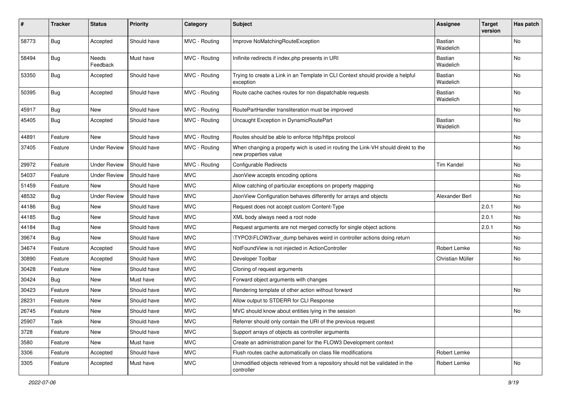| #     | <b>Tracker</b> | <b>Status</b>       | <b>Priority</b> | Category      | Subject                                                                                                   | <b>Assignee</b>             | <b>Target</b><br>version | Has patch |
|-------|----------------|---------------------|-----------------|---------------|-----------------------------------------------------------------------------------------------------------|-----------------------------|--------------------------|-----------|
| 58773 | Bug            | Accepted            | Should have     | MVC - Routing | Improve NoMatchingRouteException                                                                          | <b>Bastian</b><br>Waidelich |                          | No        |
| 58494 | Bug            | Needs<br>Feedback   | Must have       | MVC - Routing | Inifinite redirects if index.php presents in URI                                                          | Bastian<br>Waidelich        |                          | No        |
| 53350 | <b>Bug</b>     | Accepted            | Should have     | MVC - Routing | Trying to create a Link in an Template in CLI Context should provide a helpful<br>exception               | Bastian<br>Waidelich        |                          | No        |
| 50395 | Bug            | Accepted            | Should have     | MVC - Routing | Route cache caches routes for non dispatchable requests                                                   | Bastian<br>Waidelich        |                          | No.       |
| 45917 | Bug            | New                 | Should have     | MVC - Routing | RoutePartHandler transliteration must be improved                                                         |                             |                          | <b>No</b> |
| 45405 | Bug            | Accepted            | Should have     | MVC - Routing | Uncaught Exception in DynamicRoutePart                                                                    | Bastian<br>Waidelich        |                          | No        |
| 44891 | Feature        | New                 | Should have     | MVC - Routing | Routes should be able to enforce http/https protocol                                                      |                             |                          | No        |
| 37405 | Feature        | <b>Under Review</b> | Should have     | MVC - Routing | When changing a property wich is used in routing the Link-VH should direkt to the<br>new properties value |                             |                          | No        |
| 29972 | Feature        | <b>Under Review</b> | Should have     | MVC - Routing | Configurable Redirects                                                                                    | <b>Tim Kandel</b>           |                          | No.       |
| 54037 | Feature        | <b>Under Review</b> | Should have     | <b>MVC</b>    | JsonView accepts encoding options                                                                         |                             |                          | No        |
| 51459 | Feature        | New                 | Should have     | <b>MVC</b>    | Allow catching of particular exceptions on property mapping                                               |                             |                          | No        |
| 48532 | <b>Bug</b>     | <b>Under Review</b> | Should have     | <b>MVC</b>    | JsonView Configuration behaves differently for arrays and objects                                         | Alexander Berl              |                          | No        |
| 44186 | <b>Bug</b>     | New                 | Should have     | <b>MVC</b>    | Request does not accept custom Content-Type                                                               |                             | 2.0.1                    | No        |
| 44185 | Bug            | New                 | Should have     | <b>MVC</b>    | XML body always need a root node                                                                          |                             | 2.0.1                    | No        |
| 44184 | <b>Bug</b>     | New                 | Should have     | <b>MVC</b>    | Request arguments are not merged correctly for single object actions                                      |                             | 2.0.1                    | No        |
| 39674 | Bug            | New                 | Should have     | <b>MVC</b>    | \TYPO3\FLOW3\var_dump behaves weird in controller actions doing return                                    |                             |                          | No        |
| 34674 | Feature        | Accepted            | Should have     | <b>MVC</b>    | NotFoundView is not injected in ActionController                                                          | Robert Lemke                |                          | No        |
| 30890 | Feature        | Accepted            | Should have     | <b>MVC</b>    | Developer Toolbar                                                                                         | Christian Müller            |                          | No        |
| 30428 | Feature        | New                 | Should have     | <b>MVC</b>    | Cloning of request arguments                                                                              |                             |                          |           |
| 30424 | <b>Bug</b>     | New                 | Must have       | <b>MVC</b>    | Forward object arguments with changes                                                                     |                             |                          |           |
| 30423 | Feature        | New                 | Should have     | <b>MVC</b>    | Rendering template of other action without forward                                                        |                             |                          | No        |
| 28231 | Feature        | New                 | Should have     | <b>MVC</b>    | Allow output to STDERR for CLI Response                                                                   |                             |                          |           |
| 26745 | Feature        | New                 | Should have     | <b>MVC</b>    | MVC should know about entities lying in the session                                                       |                             |                          | No        |
| 25907 | Task           | New                 | Should have     | <b>MVC</b>    | Referrer should only contain the URI of the previous request                                              |                             |                          |           |
| 3728  | Feature        | New                 | Should have     | <b>MVC</b>    | Support arrays of objects as controller arguments                                                         |                             |                          |           |
| 3580  | Feature        | New                 | Must have       | <b>MVC</b>    | Create an administration panel for the FLOW3 Development context                                          |                             |                          |           |
| 3306  | Feature        | Accepted            | Should have     | <b>MVC</b>    | Flush routes cache automatically on class file modifications                                              | Robert Lemke                |                          |           |
| 3305  | Feature        | Accepted            | Must have       | <b>MVC</b>    | Unmodified objects retrieved from a repository should not be validated in the<br>controller               | Robert Lemke                |                          | No        |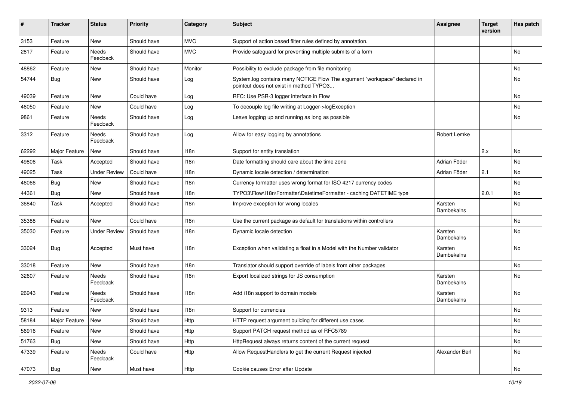| ∦     | <b>Tracker</b>      | <b>Status</b>       | <b>Priority</b> | Category   | Subject                                                                                                              | <b>Assignee</b>       | <b>Target</b><br>version | Has patch |
|-------|---------------------|---------------------|-----------------|------------|----------------------------------------------------------------------------------------------------------------------|-----------------------|--------------------------|-----------|
| 3153  | Feature             | New                 | Should have     | <b>MVC</b> | Support of action based filter rules defined by annotation.                                                          |                       |                          |           |
| 2817  | Feature             | Needs<br>Feedback   | Should have     | <b>MVC</b> | Provide safeguard for preventing multiple submits of a form                                                          |                       |                          | No.       |
| 48862 | Feature             | <b>New</b>          | Should have     | Monitor    | Possibility to exclude package from file monitoring                                                                  |                       |                          | <b>No</b> |
| 54744 | <b>Bug</b>          | New                 | Should have     | Log        | System.log contains many NOTICE Flow The argument "workspace" declared in<br>pointcut does not exist in method TYPO3 |                       |                          | No        |
| 49039 | Feature             | New                 | Could have      | Log        | RFC: Use PSR-3 logger interface in Flow                                                                              |                       |                          | No        |
| 46050 | Feature             | New                 | Could have      | Log        | To decouple log file writing at Logger->logException                                                                 |                       |                          | No        |
| 9861  | Feature             | Needs<br>Feedback   | Should have     | Log        | Leave logging up and running as long as possible                                                                     |                       |                          | No        |
| 3312  | Feature             | Needs<br>Feedback   | Should have     | Log        | Allow for easy logging by annotations                                                                                | Robert Lemke          |                          |           |
| 62292 | Major Feature       | <b>New</b>          | Should have     | 118n       | Support for entity translation                                                                                       |                       | 2.x                      | No        |
| 49806 | Task                | Accepted            | Should have     | 118n       | Date formatting should care about the time zone                                                                      | Adrian Föder          |                          | No        |
| 49025 | Task                | <b>Under Review</b> | Could have      | 118n       | Dynamic locale detection / determination                                                                             | Adrian Föder          | 2.1                      | No        |
| 46066 | Bug                 | <b>New</b>          | Should have     | 118n       | Currency formatter uses wrong format for ISO 4217 currency codes                                                     |                       |                          | No        |
| 44361 | Bug                 | New                 | Should have     | 118n       | TYPO3\Flow\I18n\Formatter\DatetimeFormatter - caching DATETIME type                                                  |                       | 2.0.1                    | <b>No</b> |
| 36840 | Task                | Accepted            | Should have     | 118n       | Improve exception for wrong locales                                                                                  | Karsten<br>Dambekalns |                          | No        |
| 35388 | Feature             | <b>New</b>          | Could have      | 118n       | Use the current package as default for translations within controllers                                               |                       |                          | No        |
| 35030 | Feature             | <b>Under Review</b> | Should have     | 118n       | Dynamic locale detection                                                                                             | Karsten<br>Dambekalns |                          | No        |
| 33024 | Bug                 | Accepted            | Must have       | 118n       | Exception when validating a float in a Model with the Number validator                                               | Karsten<br>Dambekalns |                          | No        |
| 33018 | Feature             | New                 | Should have     | 118n       | Translator should support override of labels from other packages                                                     |                       |                          | No        |
| 32607 | Feature             | Needs<br>Feedback   | Should have     | 118n       | Export localized strings for JS consumption                                                                          | Karsten<br>Dambekalns |                          | No        |
| 26943 | Feature             | Needs<br>Feedback   | Should have     | 118n       | Add i18n support to domain models                                                                                    | Karsten<br>Dambekalns |                          | No        |
| 9313  | Feature             | New                 | Should have     | 118n       | Support for currencies                                                                                               |                       |                          | No        |
| 58184 | Major Feature   New |                     | Should have     | Http       | HTTP request argument building for different use cases                                                               |                       |                          | No        |
| 56916 | Feature             | New                 | Should have     | Http       | Support PATCH request method as of RFC5789                                                                           |                       |                          | No        |
| 51763 | Bug                 | New                 | Should have     | Http       | HttpRequest always returns content of the current request                                                            |                       |                          | No        |
| 47339 | Feature             | Needs<br>Feedback   | Could have      | Http       | Allow RequestHandlers to get the current Request injected                                                            | Alexander Berl        |                          | No        |
| 47073 | Bug                 | New                 | Must have       | Http       | Cookie causes Error after Update                                                                                     |                       |                          | No        |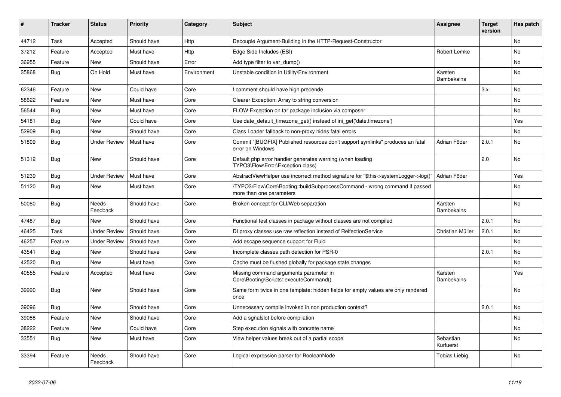| #     | <b>Tracker</b> | <b>Status</b>       | <b>Priority</b> | Category    | <b>Subject</b>                                                                                        | Assignee                     | <b>Target</b><br>version | Has patch      |
|-------|----------------|---------------------|-----------------|-------------|-------------------------------------------------------------------------------------------------------|------------------------------|--------------------------|----------------|
| 44712 | Task           | Accepted            | Should have     | Http        | Decouple Argument-Building in the HTTP-Request-Constructor                                            |                              |                          | <b>No</b>      |
| 37212 | Feature        | Accepted            | Must have       | Http        | Edge Side Includes (ESI)                                                                              | Robert Lemke                 |                          | N <sub>o</sub> |
| 36955 | Feature        | <b>New</b>          | Should have     | Error       | Add type filter to var dump()                                                                         |                              |                          | No             |
| 35868 | Bug            | On Hold             | Must have       | Environment | Unstable condition in Utility\Environment                                                             | Karsten<br>Dambekalns        |                          | N <sub>o</sub> |
| 62346 | Feature        | New                 | Could have      | Core        | f:comment should have high precende                                                                   |                              | 3.x                      | No.            |
| 58622 | Feature        | New                 | Must have       | Core        | Clearer Exception: Array to string conversion                                                         |                              |                          | No.            |
| 56544 | Bug            | New                 | Must have       | Core        | FLOW Exception on tar package inclusion via composer                                                  |                              |                          | No             |
| 54181 | Bug            | New                 | Could have      | Core        | Use date default timezone get() instead of ini get('date.timezone')                                   |                              |                          | Yes            |
| 52909 | Bug            | New                 | Should have     | Core        | Class Loader fallback to non-proxy hides fatal errors                                                 |                              |                          | No             |
| 51809 | Bug            | Under Review        | Must have       | Core        | Commit "[BUGFIX] Published resources don't support symlinks" produces an fatal<br>error on Windows    | Adrian Föder                 | 2.0.1                    | No             |
| 51312 | Bug            | New                 | Should have     | Core        | Default php error handler generates warning (when loading<br>TYPO3\Flow\Error\Exception class)        |                              | 2.0                      | N <sub>o</sub> |
| 51239 | Bug            | <b>Under Review</b> | Must have       | Core        | AbstractViewHelper use incorrect method signature for "\$this->systemLogger->log()"                   | Adrian Föder                 |                          | Yes            |
| 51120 | Bug            | <b>New</b>          | Must have       | Core        | TYPO3\Flow\Core\Booting::buildSubprocessCommand - wrong command if passed<br>more than one parameters |                              |                          | No             |
| 50080 | <b>Bug</b>     | Needs<br>Feedback   | Should have     | Core        | Broken concept for CLI/Web separation                                                                 | Karsten<br>Dambekalns        |                          | <b>No</b>      |
| 47487 | Bug            | <b>New</b>          | Should have     | Core        | Functional test classes in package without classes are not compiled                                   |                              | 2.0.1                    | No             |
| 46425 | Task           | <b>Under Review</b> | Should have     | Core        | DI proxy classes use raw reflection instead of RelfectionService                                      | Christian Müller             | 2.0.1                    | No             |
| 46257 | Feature        | <b>Under Review</b> | Should have     | Core        | Add escape sequence support for Fluid                                                                 |                              |                          | No.            |
| 43541 | <b>Bug</b>     | New                 | Should have     | Core        | Incomplete classes path detection for PSR-0                                                           |                              | 2.0.1                    | No             |
| 42520 | <b>Bug</b>     | <b>New</b>          | Must have       | Core        | Cache must be flushed globally for package state changes                                              |                              |                          | N <sub>o</sub> |
| 40555 | Feature        | Accepted            | Must have       | Core        | Missing command arguments parameter in<br>Core\Booting\Scripts::executeCommand()                      | Karsten<br><b>Dambekalns</b> |                          | Yes            |
| 39990 | <b>Bug</b>     | New                 | Should have     | Core        | Same form twice in one template: hidden fields for empty values are only rendered<br>once             |                              |                          | N <sub>o</sub> |
| 39096 | Bug            | New                 | Should have     | Core        | Unnecessary compile invoked in non production context?                                                |                              | 2.0.1                    | No             |
| 39088 | Feature        | New                 | Should have     | Core        | Add a sgnalslot before compilation                                                                    |                              |                          | No             |
| 38222 | Feature        | New                 | Could have      | Core        | Step execution signals with concrete name                                                             |                              |                          | No             |
| 33551 | Bug            | New                 | Must have       | Core        | View helper values break out of a partial scope                                                       | Sebastian<br>Kurfuerst       |                          | No             |
| 33394 | Feature        | Needs<br>Feedback   | Should have     | Core        | Logical expression parser for BooleanNode                                                             | Tobias Liebig                |                          | No             |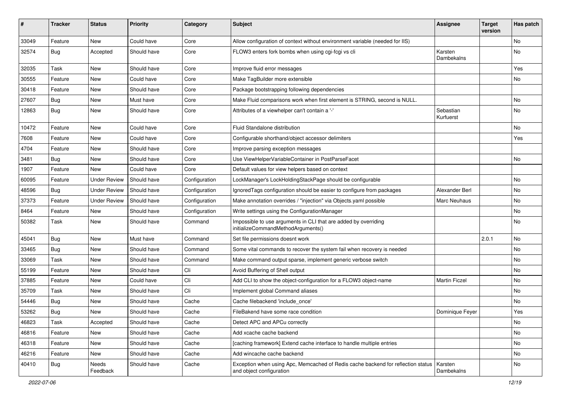| ∦     | <b>Tracker</b> | <b>Status</b>       | <b>Priority</b> | Category      | <b>Subject</b>                                                                                               | <b>Assignee</b>        | Target<br>version | Has patch |
|-------|----------------|---------------------|-----------------|---------------|--------------------------------------------------------------------------------------------------------------|------------------------|-------------------|-----------|
| 33049 | Feature        | New                 | Could have      | Core          | Allow configuration of context without environment variable (needed for IIS)                                 |                        |                   | <b>No</b> |
| 32574 | <b>Bug</b>     | Accepted            | Should have     | Core          | FLOW3 enters fork bombs when using cgi-fcgi vs cli                                                           | Karsten<br>Dambekalns  |                   | <b>No</b> |
| 32035 | <b>Task</b>    | New                 | Should have     | Core          | Improve fluid error messages                                                                                 |                        |                   | Yes       |
| 30555 | Feature        | New                 | Could have      | Core          | Make TagBuilder more extensible                                                                              |                        |                   | <b>No</b> |
| 30418 | Feature        | New                 | Should have     | Core          | Package bootstrapping following dependencies                                                                 |                        |                   |           |
| 27607 | Bug            | New                 | Must have       | Core          | Make Fluid comparisons work when first element is STRING, second is NULL.                                    |                        |                   | No        |
| 12863 | Bug            | New                 | Should have     | Core          | Attributes of a viewhelper can't contain a '-'                                                               | Sebastian<br>Kurfuerst |                   | <b>No</b> |
| 10472 | Feature        | New                 | Could have      | Core          | Fluid Standalone distribution                                                                                |                        |                   | <b>No</b> |
| 7608  | Feature        | New                 | Could have      | Core          | Configurable shorthand/object accessor delimiters                                                            |                        |                   | Yes       |
| 4704  | Feature        | New                 | Should have     | Core          | Improve parsing exception messages                                                                           |                        |                   |           |
| 3481  | Bug            | New                 | Should have     | Core          | Use ViewHelperVariableContainer in PostParseFacet                                                            |                        |                   | <b>No</b> |
| 1907  | Feature        | New                 | Could have      | Core          | Default values for view helpers based on context                                                             |                        |                   |           |
| 60095 | Feature        | <b>Under Review</b> | Should have     | Configuration | LockManager's LockHoldingStackPage should be configurable                                                    |                        |                   | No        |
| 48596 | <b>Bug</b>     | <b>Under Review</b> | Should have     | Configuration | IgnoredTags configuration should be easier to configure from packages                                        | Alexander Berl         |                   | <b>No</b> |
| 37373 | Feature        | <b>Under Review</b> | Should have     | Configuration | Make annotation overrides / "injection" via Objects.yaml possible                                            | <b>Marc Neuhaus</b>    |                   | No        |
| 8464  | Feature        | New                 | Should have     | Configuration | Write settings using the ConfigurationManager                                                                |                        |                   | No        |
| 50382 | Task           | New                 | Should have     | Command       | Impossible to use arguments in CLI that are added by overriding<br>initializeCommandMethodArguments()        |                        |                   | <b>No</b> |
| 45041 | Bug            | New                 | Must have       | Command       | Set file permissions doesnt work                                                                             |                        | 2.0.1             | <b>No</b> |
| 33465 | Bug            | New                 | Should have     | Command       | Some vital commands to recover the system fail when recovery is needed                                       |                        |                   | <b>No</b> |
| 33069 | Task           | New                 | Should have     | Command       | Make command output sparse, implement generic verbose switch                                                 |                        |                   | No        |
| 55199 | Feature        | New                 | Should have     | Cli           | Avoid Buffering of Shell output                                                                              |                        |                   | <b>No</b> |
| 37885 | Feature        | New                 | Could have      | Cli           | Add CLI to show the object-configuration for a FLOW3 object-name                                             | <b>Martin Ficzel</b>   |                   | <b>No</b> |
| 35709 | Task           | New                 | Should have     | Cli           | Implement global Command aliases                                                                             |                        |                   | No        |
| 54446 | <b>Bug</b>     | New                 | Should have     | Cache         | Cache filebackend 'include once'                                                                             |                        |                   | <b>No</b> |
| 53262 | <b>Bug</b>     | New                 | Should have     | Cache         | FileBakend have some race condition                                                                          | Dominique Feyer        |                   | Yes       |
| 46823 | Task           | Accepted            | Should have     | Cache         | Detect APC and APCu correctly                                                                                |                        |                   | No        |
| 46816 | Feature        | New                 | Should have     | Cache         | Add xcache cache backend                                                                                     |                        |                   | No        |
| 46318 | Feature        | New                 | Should have     | Cache         | [caching framework] Extend cache interface to handle multiple entries                                        |                        |                   | No        |
| 46216 | Feature        | New                 | Should have     | Cache         | Add wincache cache backend                                                                                   |                        |                   | No        |
| 40410 | <b>Bug</b>     | Needs<br>Feedback   | Should have     | Cache         | Exception when using Apc, Memcached of Redis cache backend for reflection status<br>and object configuration | Karsten<br>Dambekalns  |                   | No        |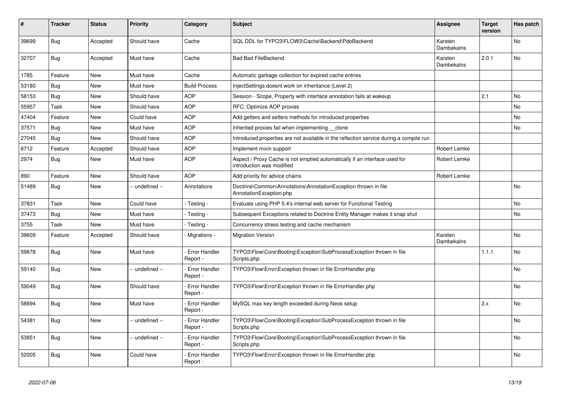| ∦     | <b>Tracker</b> | <b>Status</b> | <b>Priority</b> | Category                         | <b>Subject</b>                                                                                          | <b>Assignee</b>       | <b>Target</b><br>version | Has patch |
|-------|----------------|---------------|-----------------|----------------------------------|---------------------------------------------------------------------------------------------------------|-----------------------|--------------------------|-----------|
| 39699 | Bug            | Accepted      | Should have     | Cache                            | SQL DDL for TYPO3\FLOW3\Cache\Backend\PdoBackend                                                        | Karsten<br>Dambekalns |                          | No.       |
| 32707 | <b>Bug</b>     | Accepted      | Must have       | Cache                            | <b>Bad Bad FileBackend</b>                                                                              | Karsten<br>Dambekalns | 2.0.1                    | <b>No</b> |
| 1785  | Feature        | New           | Must have       | Cache                            | Automatic garbage collection for expired cache entries                                                  |                       |                          |           |
| 53180 | <b>Bug</b>     | New           | Must have       | <b>Build Process</b>             | InjectSettings doesnt work on inheritance (Level 2)                                                     |                       |                          |           |
| 58153 | <b>Bug</b>     | <b>New</b>    | Should have     | <b>AOP</b>                       | Session - Scope, Property with interface annotation fails at wakeup                                     |                       | 2.1                      | No        |
| 55957 | Task           | <b>New</b>    | Should have     | <b>AOP</b>                       | RFC: Optimize AOP proxies                                                                               |                       |                          | <b>No</b> |
| 47404 | Feature        | <b>New</b>    | Could have      | <b>AOP</b>                       | Add getters and setters methods for introduced properties                                               |                       |                          | No        |
| 37571 | Bug            | New           | Must have       | <b>AOP</b>                       | Inherited proxies fail when implementing __clone                                                        |                       |                          | <b>No</b> |
| 27045 | <b>Bug</b>     | New           | Should have     | <b>AOP</b>                       | Introduced properties are not available in the reflection service during a compile run                  |                       |                          |           |
| 6712  | Feature        | Accepted      | Should have     | <b>AOP</b>                       | Implement mixin support                                                                                 | Robert Lemke          |                          |           |
| 2974  | Bug            | <b>New</b>    | Must have       | <b>AOP</b>                       | Aspect / Proxy Cache is not emptied automatically if an interface used for<br>introduction was modified | Robert Lemke          |                          |           |
| 890   | Feature        | New           | Should have     | <b>AOP</b>                       | Add priority for advice chains                                                                          | Robert Lemke          |                          |           |
| 51489 | <b>Bug</b>     | New           | -- undefined -- | Annotations                      | Doctrine\Common\Annotations\AnnotationException thrown in file<br>AnnotationException.php               |                       |                          | No        |
| 37831 | Task           | <b>New</b>    | Could have      | - Testing                        | Evaluate using PHP 5.4's internal web server for Functional Testing                                     |                       |                          | No        |
| 37473 | Bug            | New           | Must have       | Testing -                        | Subsequent Exceptions related to Doctrine Entity Manager makes it snap shut                             |                       |                          | <b>No</b> |
| 3755  | Task           | New           | Must have       | Testing -                        | Concurrency stress testing and cache mechanism                                                          |                       |                          |           |
| 39609 | Feature        | Accepted      | Should have     | Migrations -                     | <b>Migration Version</b>                                                                                | Karsten<br>Dambekalns |                          | <b>No</b> |
| 59878 | <b>Bug</b>     | <b>New</b>    | Must have       | <b>Error Handler</b><br>Report - | TYPO3\Flow\Core\Booting\Exception\SubProcessException thrown in file<br>Scripts.php                     |                       | 1.1.1                    | No        |
| 59140 | <b>Bug</b>     | New           | - undefined --  | Error Handler<br>Report -        | TYPO3\Flow\Error\Exception thrown in file ErrorHandler.php                                              |                       |                          | <b>No</b> |
| 59049 | Bug            | New           | Should have     | Error Handler<br>Report -        | TYPO3\Flow\Error\Exception thrown in file ErrorHandler.php                                              |                       |                          | No        |
| 58894 | Bug            | New           | Must have       | <b>Error Handler</b><br>Report - | MySQL max key length exceeded during Neos setup                                                         |                       | 2.x                      | <b>No</b> |
| 54381 | <b>Bug</b>     | <b>New</b>    | -- undefined -- | <b>Error Handler</b><br>Report - | TYPO3\Flow\Core\Booting\Exception\SubProcessException thrown in file<br>Scripts.php                     |                       |                          | <b>No</b> |
| 53851 | Bug            | New           | -- undefined -- | Error Handler<br>Report -        | TYPO3\Flow\Core\Booting\Exception\SubProcessException thrown in file<br>Scripts.php                     |                       |                          | No        |
| 52005 | <b>Bug</b>     | <b>New</b>    | Could have      | Error Handler<br>Report -        | TYPO3\Flow\Error\Exception thrown in file ErrorHandler.php                                              |                       |                          | No        |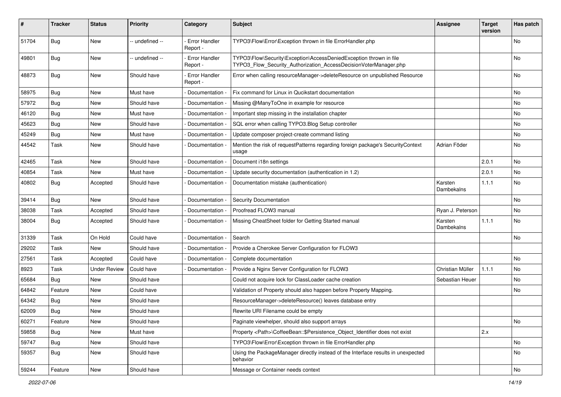| #     | <b>Tracker</b> | <b>Status</b>       | <b>Priority</b> | Category                         | Subject                                                                                                                                | <b>Assignee</b>       | <b>Target</b><br>version | Has patch |
|-------|----------------|---------------------|-----------------|----------------------------------|----------------------------------------------------------------------------------------------------------------------------------------|-----------------------|--------------------------|-----------|
| 51704 | Bug            | <b>New</b>          | -- undefined -- | <b>Error Handler</b><br>Report - | TYPO3\Flow\Error\Exception thrown in file ErrorHandler.php                                                                             |                       |                          | No        |
| 49801 | Bug            | New                 | -- undefined -- | - Error Handler<br>Report -      | TYPO3\Flow\Security\Exception\AccessDeniedException thrown in file<br>TYPO3_Flow_Security_Authorization_AccessDecisionVoterManager.php |                       |                          | No        |
| 48873 | <b>Bug</b>     | New                 | Should have     | <b>Error Handler</b><br>Report - | Error when calling resourceManager->deleteResource on unpublished Resource                                                             |                       |                          | No        |
| 58975 | Bug            | <b>New</b>          | Must have       | - Documentation -                | Fix command for Linux in Qucikstart documentation                                                                                      |                       |                          | No        |
| 57972 | <b>Bug</b>     | New                 | Should have     | Documentation -                  | Missing @ManyToOne in example for resource                                                                                             |                       |                          | No        |
| 46120 | Bug            | New                 | Must have       | Documentation -                  | Important step missing in the installation chapter                                                                                     |                       |                          | No        |
| 45623 | Bug            | New                 | Should have     | Documentation -                  | SQL error when calling TYPO3.Blog Setup controller                                                                                     |                       |                          | No        |
| 45249 | Bug            | New                 | Must have       | Documentation -                  | Update composer project-create command listing                                                                                         |                       |                          | No.       |
| 44542 | Task           | New                 | Should have     | Documentation -                  | Mention the risk of requestPatterns regarding foreign package's SecurityContext<br>usage                                               | Adrian Föder          |                          | No        |
| 42465 | Task           | <b>New</b>          | Should have     | Documentation -                  | Document i18n settings                                                                                                                 |                       | 2.0.1                    | No        |
| 40854 | Task           | <b>New</b>          | Must have       | Documentation                    | Update security documentation (authentication in 1.2)                                                                                  |                       | 2.0.1                    | No        |
| 40802 | <b>Bug</b>     | Accepted            | Should have     | Documentation                    | Documentation mistake (authentication)                                                                                                 | Karsten<br>Dambekalns | 1.1.1                    | No        |
| 39414 | Bug            | New                 | Should have     | Documentation -                  | <b>Security Documentation</b>                                                                                                          |                       |                          | No        |
| 38038 | Task           | Accepted            | Should have     | Documentation -                  | Proofread FLOW3 manual                                                                                                                 | Ryan J. Peterson      |                          | No.       |
| 38004 | Bug            | Accepted            | Should have     | Documentation -                  | Missing CheatSheet folder for Getting Started manual                                                                                   | Karsten<br>Dambekalns | 1.1.1                    | No        |
| 31339 | Task           | On Hold             | Could have      | - Documentation -                | Search                                                                                                                                 |                       |                          | No        |
| 29202 | Task           | New                 | Should have     | Documentation                    | Provide a Cherokee Server Configuration for FLOW3                                                                                      |                       |                          |           |
| 27561 | Task           | Accepted            | Could have      | Documentation                    | Complete documentation                                                                                                                 |                       |                          | No        |
| 8923  | Task           | <b>Under Review</b> | Could have      | Documentation                    | Provide a Nginx Server Configuration for FLOW3                                                                                         | Christian Müller      | 1.1.1                    | No.       |
| 65684 | Bug            | New                 | Should have     |                                  | Could not acquire lock for ClassLoader cache creation                                                                                  | Sebastian Heuer       |                          | No        |
| 64842 | Feature        | <b>New</b>          | Could have      |                                  | Validation of Property should also happen before Property Mapping.                                                                     |                       |                          | No.       |
| 64342 | Bug            | New                 | Should have     |                                  | ResourceManager->deleteResource() leaves database entry                                                                                |                       |                          |           |
| 62009 | <b>Bug</b>     | New                 | Should have     |                                  | Rewrite URI Filename could be empty                                                                                                    |                       |                          |           |
| 60271 | Feature        | New                 | Should have     |                                  | Paginate viewhelper, should also support arrays                                                                                        |                       |                          | No        |
| 59858 | <b>Bug</b>     | New                 | Must have       |                                  | Property <path>\CoffeeBean::\$Persistence_Object_Identifier does not exist</path>                                                      |                       | 2.x                      |           |
| 59747 | Bug            | New                 | Should have     |                                  | TYPO3\Flow\Error\Exception thrown in file ErrorHandler.php                                                                             |                       |                          | No        |
| 59357 | Bug            | New                 | Should have     |                                  | Using the PackageManager directly instead of the Interface results in unexpected<br>behavior                                           |                       |                          | No        |
| 59244 | Feature        | New                 | Should have     |                                  | Message or Container needs context                                                                                                     |                       |                          | No        |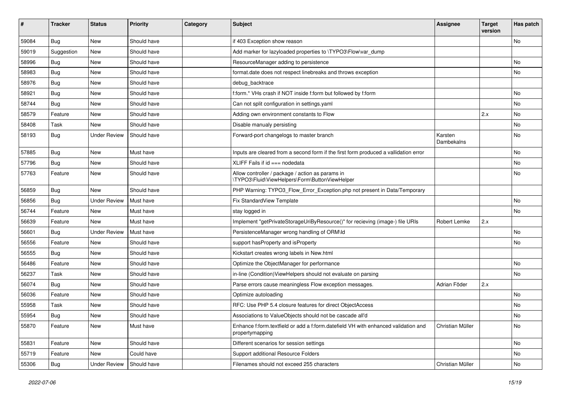| #     | <b>Tracker</b> | <b>Status</b>       | <b>Priority</b> | Category | Subject                                                                                               | <b>Assignee</b>       | <b>Target</b><br>version | Has patch |
|-------|----------------|---------------------|-----------------|----------|-------------------------------------------------------------------------------------------------------|-----------------------|--------------------------|-----------|
| 59084 | Bug            | New                 | Should have     |          | if 403 Exception show reason                                                                          |                       |                          | No        |
| 59019 | Suggestion     | New                 | Should have     |          | Add marker for lazyloaded properties to \TYPO3\Flow\var_dump                                          |                       |                          |           |
| 58996 | Bug            | New                 | Should have     |          | ResourceManager adding to persistence                                                                 |                       |                          | No        |
| 58983 | Bug            | New                 | Should have     |          | format.date does not respect linebreaks and throws exception                                          |                       |                          | No        |
| 58976 | <b>Bug</b>     | New                 | Should have     |          | debug_backtrace                                                                                       |                       |                          |           |
| 58921 | Bug            | New                 | Should have     |          | f:form.* VHs crash if NOT inside f:form but followed by f:form                                        |                       |                          | No        |
| 58744 | Bug            | New                 | Should have     |          | Can not split configuration in settings.yaml                                                          |                       |                          | No        |
| 58579 | Feature        | New                 | Should have     |          | Adding own environment constants to Flow                                                              |                       | 2.x                      | No        |
| 58408 | <b>Task</b>    | New                 | Should have     |          | Disable manualy persisting                                                                            |                       |                          | No        |
| 58193 | Bug            | <b>Under Review</b> | Should have     |          | Forward-port changelogs to master branch                                                              | Karsten<br>Dambekalns |                          | No        |
| 57885 | Bug            | New                 | Must have       |          | Inputs are cleared from a second form if the first form produced a vallidation error                  |                       |                          | No        |
| 57796 | <b>Bug</b>     | New                 | Should have     |          | XLIFF Fails if id === nodedata                                                                        |                       |                          | No        |
| 57763 | Feature        | New                 | Should have     |          | Allow controller / package / action as params in<br>\TYPO3\Fluid\ViewHelpers\Form\ButtonViewHelper    |                       |                          | No        |
| 56859 | <b>Bug</b>     | New                 | Should have     |          | PHP Warning: TYPO3_Flow_Error_Exception.php not present in Data/Temporary                             |                       |                          |           |
| 56856 | Bug            | <b>Under Review</b> | Must have       |          | Fix StandardView Template                                                                             |                       |                          | No        |
| 56744 | Feature        | New                 | Must have       |          | stay logged in                                                                                        |                       |                          | No        |
| 56639 | Feature        | New                 | Must have       |          | Implement "getPrivateStorageUriByResource()" for recieving (image-) file URIs                         | Robert Lemke          | 2.x                      |           |
| 56601 | Bug            | <b>Under Review</b> | Must have       |          | PersistenceManager wrong handling of ORM\ld                                                           |                       |                          | No        |
| 56556 | Feature        | New                 | Should have     |          | support hasProperty and isProperty                                                                    |                       |                          | No        |
| 56555 | Bug            | New                 | Should have     |          | Kickstart creates wrong labels in New.html                                                            |                       |                          |           |
| 56486 | Feature        | New                 | Should have     |          | Optimize the ObjectManager for performance                                                            |                       |                          | <b>No</b> |
| 56237 | <b>Task</b>    | New                 | Should have     |          | in-line (Condition) View Helpers should not evaluate on parsing                                       |                       |                          | No        |
| 56074 | <b>Bug</b>     | New                 | Should have     |          | Parse errors cause meaningless Flow exception messages.                                               | Adrian Föder          | 2.x                      |           |
| 56036 | Feature        | New                 | Should have     |          | Optimize autoloading                                                                                  |                       |                          | No        |
| 55958 | <b>Task</b>    | New                 | Should have     |          | RFC: Use PHP 5.4 closure features for direct ObjectAccess                                             |                       |                          | No        |
| 55954 | Bug            | New                 | Should have     |          | Associations to ValueObjects should not be cascade all'd                                              |                       |                          | No        |
| 55870 | Feature        | New                 | Must have       |          | Enhance f:form.textfield or add a f:form.datefield VH with enhanced validation and<br>propertymapping | Christian Müller      |                          | No        |
| 55831 | Feature        | New                 | Should have     |          | Different scenarios for session settings                                                              |                       |                          | No        |
| 55719 | Feature        | New                 | Could have      |          | Support additional Resource Folders                                                                   |                       |                          | No        |
| 55306 | <b>Bug</b>     | <b>Under Review</b> | Should have     |          | Filenames should not exceed 255 characters                                                            | Christian Müller      |                          | No        |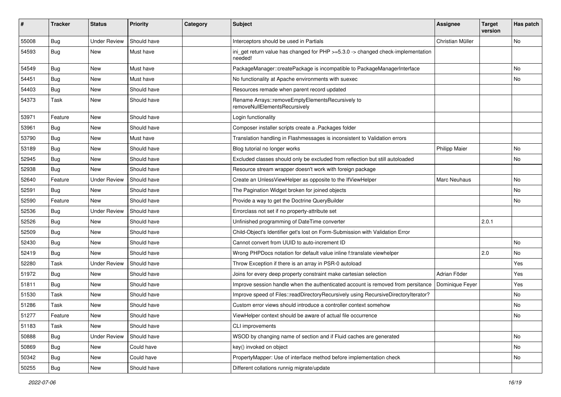| ∦     | <b>Tracker</b> | <b>Status</b>       | <b>Priority</b> | Category | <b>Subject</b>                                                                              | <b>Assignee</b>      | <b>Target</b><br>version | Has patch |
|-------|----------------|---------------------|-----------------|----------|---------------------------------------------------------------------------------------------|----------------------|--------------------------|-----------|
| 55008 | Bug            | <b>Under Review</b> | Should have     |          | Interceptors should be used in Partials                                                     | Christian Müller     |                          | No        |
| 54593 | Bug            | New                 | Must have       |          | ini_get return value has changed for PHP >=5.3.0 -> changed check-implementation<br>needed! |                      |                          |           |
| 54549 | Bug            | New                 | Must have       |          | PackageManager::createPackage is incompatible to PackageManagerInterface                    |                      |                          | No        |
| 54451 | Bug            | New                 | Must have       |          | No functionality at Apache environments with suexec                                         |                      |                          | No        |
| 54403 | Bug            | New                 | Should have     |          | Resources remade when parent record updated                                                 |                      |                          |           |
| 54373 | Task           | New                 | Should have     |          | Rename Arrays::removeEmptyElementsRecursively to<br>removeNullElementsRecursively           |                      |                          |           |
| 53971 | Feature        | New                 | Should have     |          | Login functionality                                                                         |                      |                          |           |
| 53961 | Bug            | New                 | Should have     |          | Composer installer scripts create a .Packages folder                                        |                      |                          |           |
| 53790 | <b>Bug</b>     | New                 | Must have       |          | Translation handling in Flashmessages is inconsistent to Validation errors                  |                      |                          |           |
| 53189 | Bug            | New                 | Should have     |          | Blog tutorial no longer works                                                               | <b>Philipp Maier</b> |                          | No        |
| 52945 | <b>Bug</b>     | New                 | Should have     |          | Excluded classes should only be excluded from reflection but still autoloaded               |                      |                          | No        |
| 52938 | <b>Bug</b>     | New                 | Should have     |          | Resource stream wrapper doesn't work with foreign package                                   |                      |                          |           |
| 52640 | Feature        | <b>Under Review</b> | Should have     |          | Create an UnlessViewHelper as opposite to the IfViewHelper                                  | <b>Marc Neuhaus</b>  |                          | No        |
| 52591 | Bug            | New                 | Should have     |          | The Pagination Widget broken for joined objects                                             |                      |                          | No.       |
| 52590 | Feature        | New                 | Should have     |          | Provide a way to get the Doctrine QueryBuilder                                              |                      |                          | No        |
| 52536 | Bug            | Under Review        | Should have     |          | Errorclass not set if no property-attribute set                                             |                      |                          |           |
| 52526 | <b>Bug</b>     | New                 | Should have     |          | Unfinished programming of DateTime converter                                                |                      | 2.0.1                    |           |
| 52509 | Bug            | <b>New</b>          | Should have     |          | Child-Object's Identifier get's lost on Form-Submission with Validation Error               |                      |                          |           |
| 52430 | <b>Bug</b>     | New                 | Should have     |          | Cannot convert from UUID to auto-increment ID                                               |                      |                          | No        |
| 52419 | Bug            | New                 | Should have     |          | Wrong PHPDocs notation for default value inline f:translate viewhelper                      |                      | 2.0                      | No        |
| 52280 | Task           | <b>Under Review</b> | Should have     |          | Throw Exception if there is an array in PSR-0 autoload                                      |                      |                          | Yes       |
| 51972 | <b>Bug</b>     | New                 | Should have     |          | Joins for every deep property constraint make cartesian selection                           | Adrian Föder         |                          | Yes       |
| 51811 | Bug            | <b>New</b>          | Should have     |          | Improve session handle when the authenticated account is removed from persitance            | Dominique Feyer      |                          | Yes       |
| 51530 | Task           | New                 | Should have     |          | Improve speed of Files::readDirectoryRecursively using RecursiveDirectoryIterator?          |                      |                          | No        |
| 51286 | Task           | New                 | Should have     |          | Custom error views should introduce a controller context somehow                            |                      |                          | No.       |
| 51277 | Feature        | New                 | Should have     |          | ViewHelper context should be aware of actual file occurrence                                |                      |                          | No        |
| 51183 | Task           | New                 | Should have     |          | CLI improvements                                                                            |                      |                          |           |
| 50888 | <b>Bug</b>     | <b>Under Review</b> | Should have     |          | WSOD by changing name of section and if Fluid caches are generated                          |                      |                          | No        |
| 50869 | <b>Bug</b>     | New                 | Could have      |          | key() invoked on object                                                                     |                      |                          | No        |
| 50342 | Bug            | New                 | Could have      |          | PropertyMapper: Use of interface method before implementation check                         |                      |                          | No        |
| 50255 | <b>Bug</b>     | New                 | Should have     |          | Different collations runnig migrate/update                                                  |                      |                          |           |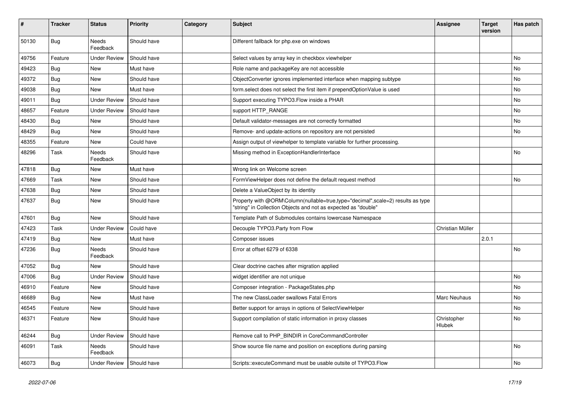| #     | <b>Tracker</b> | <b>Status</b>       | <b>Priority</b> | Category | <b>Subject</b>                                                                                                                                    | <b>Assignee</b>       | <b>Target</b><br>version | Has patch |
|-------|----------------|---------------------|-----------------|----------|---------------------------------------------------------------------------------------------------------------------------------------------------|-----------------------|--------------------------|-----------|
| 50130 | Bug            | Needs<br>Feedback   | Should have     |          | Different fallback for php.exe on windows                                                                                                         |                       |                          |           |
| 49756 | Feature        | <b>Under Review</b> | Should have     |          | Select values by array key in checkbox viewhelper                                                                                                 |                       |                          | No        |
| 49423 | Bug            | <b>New</b>          | Must have       |          | Role name and packageKey are not accessible                                                                                                       |                       |                          | No        |
| 49372 | <b>Bug</b>     | New                 | Should have     |          | ObjectConverter ignores implemented interface when mapping subtype                                                                                |                       |                          | No        |
| 49038 | <b>Bug</b>     | New                 | Must have       |          | form.select does not select the first item if prependOptionValue is used                                                                          |                       |                          | No.       |
| 49011 | <b>Bug</b>     | <b>Under Review</b> | Should have     |          | Support executing TYPO3. Flow inside a PHAR                                                                                                       |                       |                          | No        |
| 48657 | Feature        | <b>Under Review</b> | Should have     |          | support HTTP_RANGE                                                                                                                                |                       |                          | No        |
| 48430 | Bug            | <b>New</b>          | Should have     |          | Default validator-messages are not correctly formatted                                                                                            |                       |                          | No        |
| 48429 | <b>Bug</b>     | New                 | Should have     |          | Remove- and update-actions on repository are not persisted                                                                                        |                       |                          | No        |
| 48355 | Feature        | <b>New</b>          | Could have      |          | Assign output of viewhelper to template variable for further processing.                                                                          |                       |                          |           |
| 48296 | Task           | Needs<br>Feedback   | Should have     |          | Missing method in ExceptionHandlerInterface                                                                                                       |                       |                          | No        |
| 47818 | <b>Bug</b>     | New                 | Must have       |          | Wrong link on Welcome screen                                                                                                                      |                       |                          |           |
| 47669 | Task           | New                 | Should have     |          | FormViewHelper does not define the default request method                                                                                         |                       |                          | No        |
| 47638 | <b>Bug</b>     | New                 | Should have     |          | Delete a ValueObject by its identity                                                                                                              |                       |                          |           |
| 47637 | Bug            | New                 | Should have     |          | Property with @ORM\Column(nullable=true,type="decimal",scale=2) results as type<br>"string" in Collection Objects and not as expected as "double" |                       |                          |           |
| 47601 | Bug            | New                 | Should have     |          | Template Path of Submodules contains lowercase Namespace                                                                                          |                       |                          |           |
| 47423 | Task           | <b>Under Review</b> | Could have      |          | Decouple TYPO3.Party from Flow                                                                                                                    | Christian Müller      |                          |           |
| 47419 | Bug            | <b>New</b>          | Must have       |          | Composer issues                                                                                                                                   |                       | 2.0.1                    |           |
| 47236 | <b>Bug</b>     | Needs<br>Feedback   | Should have     |          | Error at offset 6279 of 6338                                                                                                                      |                       |                          | No        |
| 47052 | <b>Bug</b>     | New                 | Should have     |          | Clear doctrine caches after migration applied                                                                                                     |                       |                          |           |
| 47006 | Bug            | <b>Under Review</b> | Should have     |          | widget identifier are not unique                                                                                                                  |                       |                          | No        |
| 46910 | Feature        | New                 | Should have     |          | Composer integration - PackageStates.php                                                                                                          |                       |                          | No        |
| 46689 | <b>Bug</b>     | New                 | Must have       |          | The new ClassLoader swallows Fatal Errors                                                                                                         | Marc Neuhaus          |                          | No        |
| 46545 | Feature        | <b>New</b>          | Should have     |          | Better support for arrays in options of SelectViewHelper                                                                                          |                       |                          | No        |
| 46371 | Feature        | <b>New</b>          | Should have     |          | Support compilation of static information in proxy classes                                                                                        | Christopher<br>Hlubek |                          | NO.       |
| 46244 | Bug            | <b>Under Review</b> | Should have     |          | Remove call to PHP_BINDIR in CoreCommandController                                                                                                |                       |                          |           |
| 46091 | Task           | Needs<br>Feedback   | Should have     |          | Show source file name and position on exceptions during parsing                                                                                   |                       |                          | No        |
| 46073 | <b>Bug</b>     | <b>Under Review</b> | Should have     |          | Scripts::executeCommand must be usable outsite of TYPO3.Flow                                                                                      |                       |                          | No        |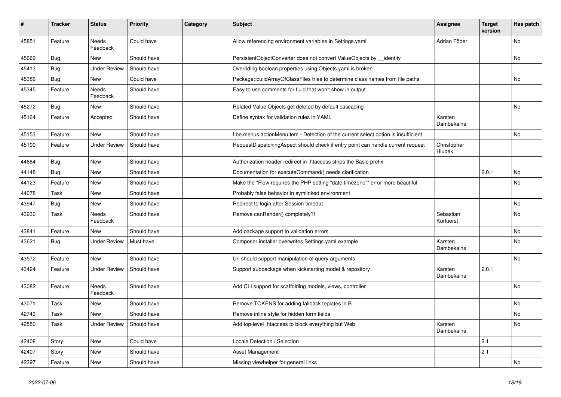| ∦     | <b>Tracker</b> | <b>Status</b>       | <b>Priority</b> | Category | <b>Subject</b>                                                                     | <b>Assignee</b>        | <b>Target</b><br>version | Has patch      |
|-------|----------------|---------------------|-----------------|----------|------------------------------------------------------------------------------------|------------------------|--------------------------|----------------|
| 45851 | Feature        | Needs<br>Feedback   | Could have      |          | Allow referencing environment variables in Settings.yaml                           | Adrian Föder           |                          | N <sub>o</sub> |
| 45669 | Bug            | New                 | Should have     |          | PersistentObjectConverter does not convert ValueObjects by __identity              |                        |                          | No             |
| 45413 | <b>Bug</b>     | <b>Under Review</b> | Should have     |          | Overriding boolean properties using Objects.yaml is broken                         |                        |                          |                |
| 45386 | Bug            | New                 | Could have      |          | Package::buildArrayOfClassFiles tries to determine class names from file paths     |                        |                          | No             |
| 45345 | Feature        | Needs<br>Feedback   | Should have     |          | Easy to use comments for fluid that won't show in output                           |                        |                          |                |
| 45272 | Bug            | New                 | Should have     |          | Related Value Objects get deleted by default cascading                             |                        |                          | No             |
| 45164 | Feature        | Accepted            | Should have     |          | Define syntax for validation rules in YAML                                         | Karsten<br>Dambekalns  |                          |                |
| 45153 | Feature        | New                 | Should have     |          | f:be.menus.actionMenuItem - Detection of the current select option is insufficient |                        |                          | No             |
| 45100 | Feature        | <b>Under Review</b> | Should have     |          | RequestDispatchingAspect should check if entry point can handle current request    | Christopher<br>Hlubek  |                          |                |
| 44684 | Bug            | <b>New</b>          | Should have     |          | Authorization header redirect in .htaccess strips the Basic-prefix                 |                        |                          |                |
| 44148 | Bug            | New                 | Should have     |          | Documentation for executeCommand() needs clarification                             |                        | 2.0.1                    | No             |
| 44123 | Feature        | New                 | Should have     |          | Make the "Flow requires the PHP setting "date.timezone"" error more beautiful      |                        |                          | No             |
| 44078 | Task           | New                 | Should have     |          | Probably false behavior in symlinked environment                                   |                        |                          |                |
| 43947 | Bug            | New                 | Should have     |          | Redirect to login after Session timeout                                            |                        |                          | No             |
| 43930 | Task           | Needs<br>Feedback   | Should have     |          | Remove canRender() completely?!                                                    | Sebastian<br>Kurfuerst |                          | No             |
| 43841 | Feature        | New                 | Should have     |          | Add package support to validation errors                                           |                        |                          | No             |
| 43621 | Bug            | <b>Under Review</b> | Must have       |          | Composer installer overwrites Settings.yaml.example                                | Karsten<br>Dambekalns  |                          | No             |
| 43572 | Feature        | <b>New</b>          | Should have     |          | Uri should support manipulation of query arguments                                 |                        |                          | No             |
| 43424 | Feature        | <b>Under Review</b> | Should have     |          | Support subpackage when kickstarting model & repository                            | Karsten<br>Dambekalns  | 2.0.1                    |                |
| 43082 | Feature        | Needs<br>Feedback   | Should have     |          | Add CLI support for scaffolding models, views, controller                          |                        |                          | No             |
| 43071 | Task           | New                 | Should have     |          | Remove TOKENS for adding fallback teplates in B                                    |                        |                          | No             |
| 42743 | Task           | New                 | Should have     |          | Remove inline style for hidden form fields                                         |                        |                          | No             |
| 42550 | Task           | <b>Under Review</b> | Should have     |          | Add top-level .htaccess to block everything but Web                                | Karsten<br>Dambekalns  |                          | No             |
| 42408 | Story          | New                 | Could have      |          | Locale Detection / Selection                                                       |                        | 2.1                      |                |
| 42407 | Story          | New                 | Should have     |          | Asset Management                                                                   |                        | 2.1                      |                |
| 42397 | Feature        | New                 | Should have     |          | Missing viewhelper for general links                                               |                        |                          | No             |